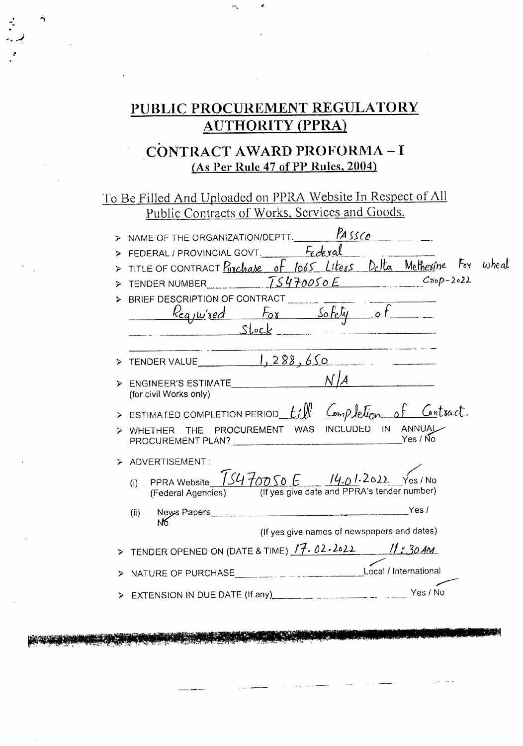# PUBLIC PROCUREMENT REGULATORY **AUTHORITY (PPRA)**

## CONTRACT AWARD PROFORMA-I (As Per Rule 47 of PP Rules, 2004)

To Be Filled And Uploaded on PPRA Website In Respect of All Public Contracts of Works, Services and Goods.

|   | NAME OF THE ORGANIZATION/DEPTT. $\frac{1}{45500}$                                                                                                                                                                                                                                            |
|---|----------------------------------------------------------------------------------------------------------------------------------------------------------------------------------------------------------------------------------------------------------------------------------------------|
|   | FEDERAL / PROVINCIAL GOVT. Federal                                                                                                                                                                                                                                                           |
|   | TITLE OF CONTRACT Purchase of lo65 Liters Delta Metherine For wheat                                                                                                                                                                                                                          |
| ⋗ | $C^{80}P-2022$<br>TENDER NUMBER TS470050E                                                                                                                                                                                                                                                    |
|   | BRIEF DESCRIPTION OF CONTRACT ________                                                                                                                                                                                                                                                       |
|   |                                                                                                                                                                                                                                                                                              |
|   | Required For Safety of                                                                                                                                                                                                                                                                       |
|   |                                                                                                                                                                                                                                                                                              |
| ⋗ | TENDER VALUE $\begin{array}{ c c c c c }\n\hline\n1, 288, 650\n\end{array}$<br><b>Contract Contract State</b>                                                                                                                                                                                |
| ⋗ | ENGINEER'S ESTIMATE<br>(for civil Works only)                                                                                                                                                                                                                                                |
|   |                                                                                                                                                                                                                                                                                              |
|   | WHETHER THE PROCUREMENT WAS INCLUDED IN ANNUAL<br>Yes / No<br>PROCUREMENT PLAN? The contract of the contract of the contract of the contract of the contract of the contract of the contract of the contract of the contract of the contract of the contract of the contract of the contract |
|   | ADVERTISEMENT:                                                                                                                                                                                                                                                                               |
|   | PPRA Website $\overline{15470050E}$ $14.01.2012$ Yes/No<br>(i)<br>(If yes give date and PPRA's tender number)<br>(Federal Agencies)                                                                                                                                                          |
|   | (ii)                                                                                                                                                                                                                                                                                         |
|   | (If yes give names of newspapers and dates)                                                                                                                                                                                                                                                  |
|   | TENDER OPENED ON (DATE & TIME) $17.02.2022$ 11:30 AM                                                                                                                                                                                                                                         |
|   |                                                                                                                                                                                                                                                                                              |
|   |                                                                                                                                                                                                                                                                                              |
|   |                                                                                                                                                                                                                                                                                              |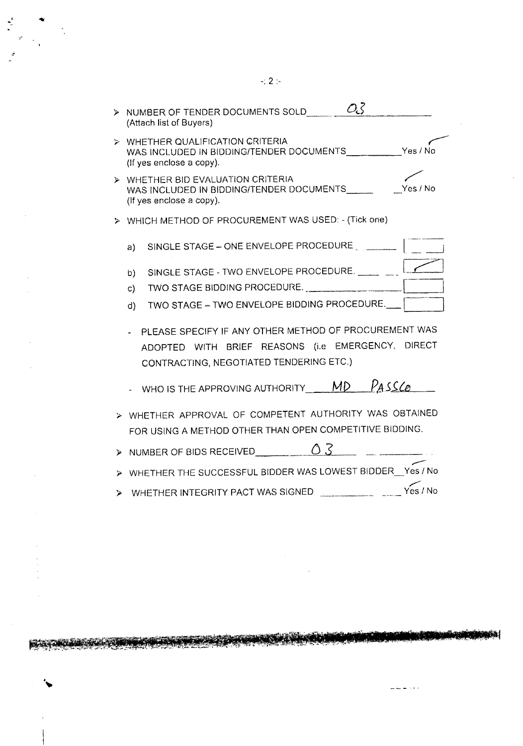> NUMBER OF TENDER DOCUMENTS SOLD  $\overline{\mathcal{O}_5}$ <br>(Attach list of Buyers) > WHETHER QUALIFICATION CRITERIA WAS INCLUDED IN BIDDING/TENDER DOCUMENTS\_\_\_\_\_\_\_\_\_\_ Yes / No (If yes enclose a copy). )- WHETHER BID EVALUATION CRITERIA WAS INCLUDED IN BIDDING/TENDER DOCUMENTS Yes / No (If yes enclose a copy). :> WHICH METHOD OF PROCUREMENT WAS USED: - (Tick one) SINGLE STAGE - ONE ENVELOPE PROCEDURE | \_\_\_\_\_\_\_\_ | a) b) SINGLE STAGE - TWO ENVELOPE PROCEDURE. <sup>t</sup> ... Zl c) TWO STAGE BIDDiNG PROCEDURE. ----r----J TWO STAGE - TWO ENVELOPE BIDDING PROCEDURE. d) PLEASE SPECIFY IF ANY OTHER METHOD OF PROCUREMENT WAS ADOPTED WITH BRIEF REASONS (i.e EMERGENCY, DIRECT CONTRACTING, NEGOTIATED TENDERING ETC.) WHO IS THE APPROVING AUTHORITY **MD** PASSCO > WHETHER APPROVAL OF COMPETENT AUTHORITY WAS OBTAINED

- FOR USING A METHOD OTHER THAN OPEN COMPETITIVE BIDDING.
- NUMBER OF BIDS RECEIVED  $\overline{\hspace{1.5cm}0.3}$
- ---- ).> WHETHER THE SUCCESSFUL BIDDER WAS LOWEST BIDDER\_Yes / No
- ",.. :> WHETHER INTEGRITY PACT WAS SIGNED Yes *I* No

. . . . . . .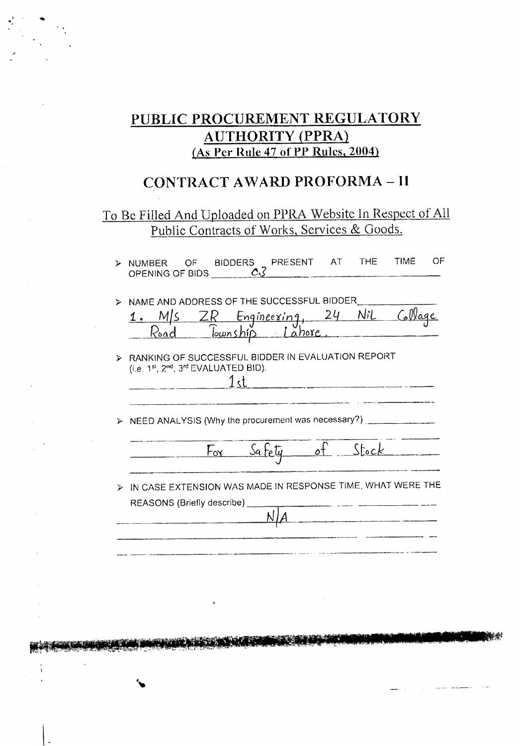## PUBLIC PROCUREMENT REGULATORY **AUTHORITY (PPRA)** (As Per Rule 47 of PP Rules, 2004)

# **CONTRACT AWARD PROFORMA - II**

## To Be Filled And Uploaded on PPRA Website In Respect of All Public Contracts of Works, Services & Goods.

|        | > NUMBER OF BIDDERS PRESENT AT THE TIME<br>OPENING OF BIDS $\bigcirc$                                                                          |        |                 | and the contract of the contract of the contract of the contract of the contract of the contract of the contract of | OF |
|--------|------------------------------------------------------------------------------------------------------------------------------------------------|--------|-----------------|---------------------------------------------------------------------------------------------------------------------|----|
|        | NAME AND ADDRESS OF THE SUCCESSFUL BIDDER<br>1. M/s ZR Engineering, 24 Nil Collage<br>Road Township Lahore.                                    |        |                 |                                                                                                                     |    |
| ⊅<br>⋗ | RANKING OF SUCCESSFUL BIDDER IN EVALUATION REPORT<br>(i.e. 1st, 2nd, 3rd EVALUATED BID).<br>NEED ANALYSIS (Why the procurement was necessary?) |        | 1st             |                                                                                                                     |    |
|        |                                                                                                                                                | Fox __ | Safety of Stock |                                                                                                                     |    |
|        | IN CASE EXTENSION WAS MADE IN RESPONSE TIME, WHAT WERE THE<br>REASONS (Briefly describe)                                                       |        |                 |                                                                                                                     |    |
|        |                                                                                                                                                |        |                 |                                                                                                                     |    |

**SOUTH THE MOVE IN THE STATE OF THE CONTRACT**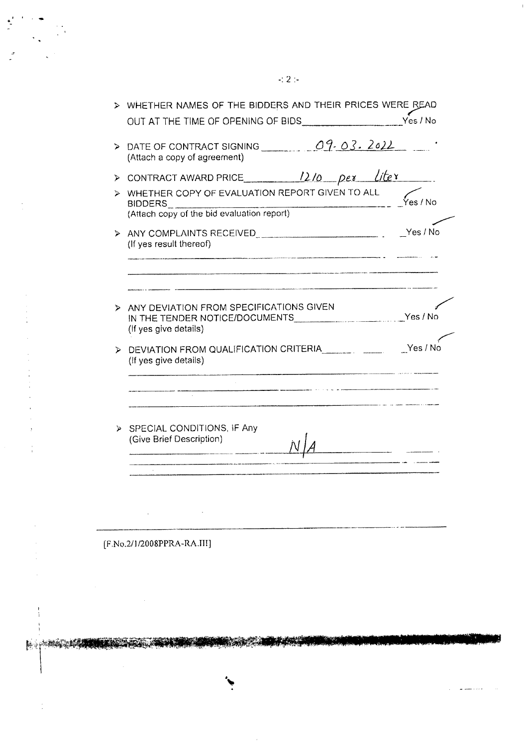|   | WHETHER NAMES OF THE BIDDERS AND THEIR PRICES WERE READ                                                     |          |  |  |  |
|---|-------------------------------------------------------------------------------------------------------------|----------|--|--|--|
|   |                                                                                                             |          |  |  |  |
| ১ | DATE OF CONTRACT SIGNING <u>COP-03. 2022</u><br>(Attach a copy of agreement)                                |          |  |  |  |
| ⋗ | CONTRACT AWARD PRICE $\frac{1210}{Pex}$ $pex$ $like x$                                                      |          |  |  |  |
| ⋗ | WHETHER COPY OF EVALUATION REPORT GIVEN TO ALL<br>BIDDERS<br>(Attach copy of the bid evaluation report)     | Yes / No |  |  |  |
| ⋗ | (If yes result thereof)                                                                                     |          |  |  |  |
| ⋗ | ANY DEVIATION FROM SPECIFICATIONS GIVEN<br>IN THE TENDER NOTICE/DOCUMENTS Ves / No<br>(If yes give details) |          |  |  |  |
| ⋗ | (If yes give details)                                                                                       | Yes / No |  |  |  |
|   |                                                                                                             |          |  |  |  |
|   |                                                                                                             |          |  |  |  |

**Service Company of Contract Only** 

**CONTRACTOR** 

[F.No.2/1/2008PPRA-RA.III]

214. y

1999 M

 $\frac{1}{1}$ 

**Negri Maga** 

 $\ddot{\cdot}$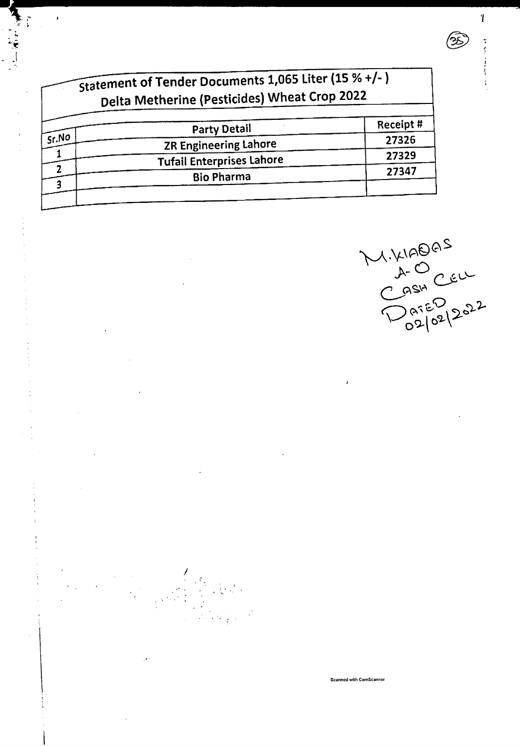| Receipt# |
|----------|
| 27326    |
| 27329    |
| 27347    |
|          |

*J*

. . ."' . ,. . .' .

 $\mathcal{L}$ 

ang pa

 $\check{\cdot}$ 

- ;. ~;~ - .I

.( *'I* ..~.,~~--------------- <sup>j</sup>

MIXIADAS<br>CASH CELL<br>DATED 2022

÷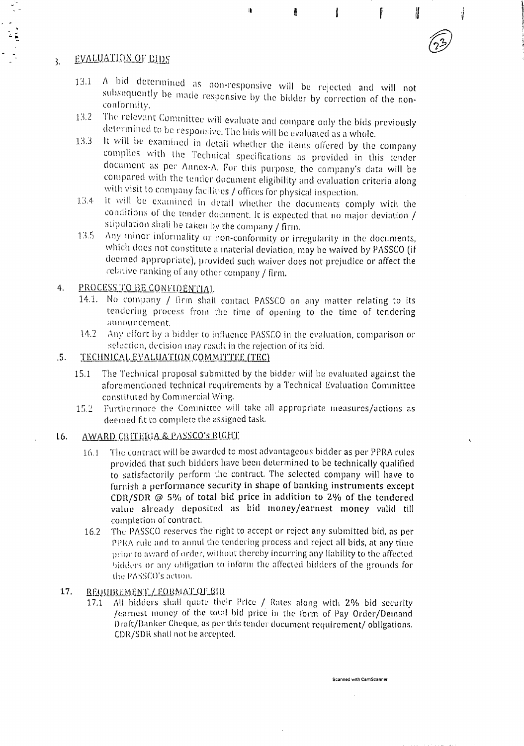#### EVALUATION OF EIDS  $\overline{3}$ .

A bid determined as non-responsive will be rejected and will not  $13.1$ subsequently be made responsive by the bidder by correction of the nonconformity.

n,

W

f

l

- The relevant Committee will evaluate and compare only the bids previously 13.2 determined to be responsive. The bids will be evaluated as a whole.
- It will be examined in detail whether the items offered by the company  $13.3<sub>1</sub>$ complies with the Technical specifications as provided in this tender document as per Annex-A. For this purpose, the company's data will be compared with the tender document eligibility and evaluation criteria along with visit to company facilities / offices for physical inspection.
- it will be examined in detail whether the documents comply with the 13.4 conditions of the tender document. It is expected that no major deviation / stipulation shall be taken by the company / firm.
- Any minor informality or non-conformity or irregularity in the documents,  $13.5$ which does not constitute a material deviation, may be waived by PASSCO (if deemed appropriate), provided such waiver does not prejudice or affect the relative ranking of any other company / firm.

#### PROCESS TO BE CONFIDENTIAL  $4.$

- 14.1. No company / firm shall contact PASSCO on any matter relating to its tendering process from the time of opening to the time of tendering announcement.
- Any effort by a bidder to influence PASSCO in the evaluation, comparison or  $14.2$ selection, decision may result in the rejection of its bid.

#### $.5.$ TECHNICAL EVALUATION COMMITTEE (TEC)

- The Technical proposal submitted by the bidder will be evaluated against the  $15.1$ aforementioned technical requirements by a Technical Evaluation Committee constituted by Commercial Wing.
- Furthermore the Committee will take all appropriate measures/actions as  $15.2$ deemed fit to complete the assigned task.

#### $16.$ AWARD CRITERIA & PASSCO'S RIGHT

- The contract will be awarded to most advantageous bidder as per PPRA rules  $16.1$ provided that such bidders have been determined to be technically qualified to satisfactorily perform the contract. The selected company will have to furnish a performance security in shape of banking instruments except CDR/SDR  $\omega$  5% of total bid price in addition to 2% of the tendered value already deposited as bid money/earnest money valid till completion of contract.
- The PASSCO reserves the right to accept or reject any submitted bid, as per 16.2 PPRA rule and to annul the tendering process and reject all bids, at any time prior to award of order, without thereby incurring any liability to the affected bidders or any obligation to inform the affected bidders of the grounds for the PASSCO's action.

#### REQUIREMENT / FORMAT OF BID 17.

All bidders shall quote their Price / Rates along with 2% bid security  $17.1$ /earnest money of the total bid price in the form of Pay Order/Demand Draft/Banker Cheque, as per this tender document requirement/ obligations. CDR/SDR shall not be accepted.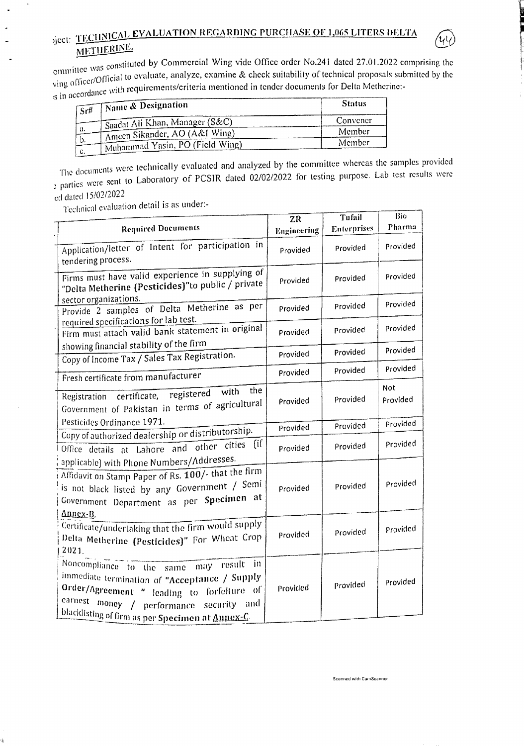# yject: TECHNICAL EVALUATION REGARDING PURCHASE OF 1,065 LITERS DELTA METHERINE.



| $\sqrt{\frac{1}{N}}$ Name & Designation<br>$\overline{S}r$ # | <b>Status</b> |
|--------------------------------------------------------------|---------------|
| Saadat Ali Khan, Manager (S&C)                               | Convener      |
| а.<br>TAmeen Sikander, AO (A&I Wing)                         | Member        |
| b.<br>Muhammad Yasin, PO (Field Wing)                        | Member        |
| <b>C.</b>                                                    |               |

The documents were technically evaluated and analyzed by the committee whereas the samples provided extra section were sent to Laboratory of PCSIR dated 02/02/2022 for testing purpose. Lab test results were ed dated 15/02/2022

Technical evaluation detail is as under:-

á

|                                                                                                                                                                                                                                           | $\overline{ZR}$ | Tufail      | Bio             |
|-------------------------------------------------------------------------------------------------------------------------------------------------------------------------------------------------------------------------------------------|-----------------|-------------|-----------------|
| <b>Required Documents</b>                                                                                                                                                                                                                 | Engineering     | Enterprises | Pharma          |
| Application/letter of Intent for participation in<br>tendering process.                                                                                                                                                                   | Provided        | Provided    | Provided        |
| Firms must have valid experience in supplying of<br>"Delta Metherine (Pesticides)"to public / private                                                                                                                                     | Provided        | Provided    | Provided        |
| sector organizations.<br>Provide 2 samples of Delta Metherine as per                                                                                                                                                                      | Provided        | Provided    | Provided        |
| required specifications for lab test.<br>Firm must attach valid bank statement in original                                                                                                                                                | Provided        | Provided    | Provided        |
| showing financial stability of the firm<br>Copy of Income Tax / Sales Tax Registration.                                                                                                                                                   | Provided        | Provided    | Provided        |
| Fresh certificate from manufacturer                                                                                                                                                                                                       | Provided        | Provided    | Provided        |
| the<br>Registration certificate, registered with<br>Government of Pakistan in terms of agricultural                                                                                                                                       | Provided        | Provided    | Not<br>Provided |
| Pesticides Ordinance 1971.                                                                                                                                                                                                                | Provided        | Provided    | Provided        |
| Copy of authorized dealership or distributorship.<br>Office details at Lahore and other cities (if                                                                                                                                        | Provided        | Provided    | Provided        |
| applicable) with Phone Numbers/Addresses.<br>Affidavit on Stamp Paper of Rs. 100/- that the firm<br>is not black listed by any Government / Semi<br>Government Department as per Specimen at                                              | Provided        | Provided    | Provided        |
| Annex-B.<br>Certificate/undertaking that the firm would supply<br>Delta Metherine (Pesticides)" For Wheat Crop<br>2021.                                                                                                                   | Provided        | Provided    | Provided        |
| Noncompliance to the same may result<br>in.<br>immediate termination of "Acceptance / Supply<br>Order/Agreement " leading to forfeiture of<br>earnest money / performance security and<br>blacklisting of firm as per Specimen at Annex-C | Provided        | Provided    | Provided        |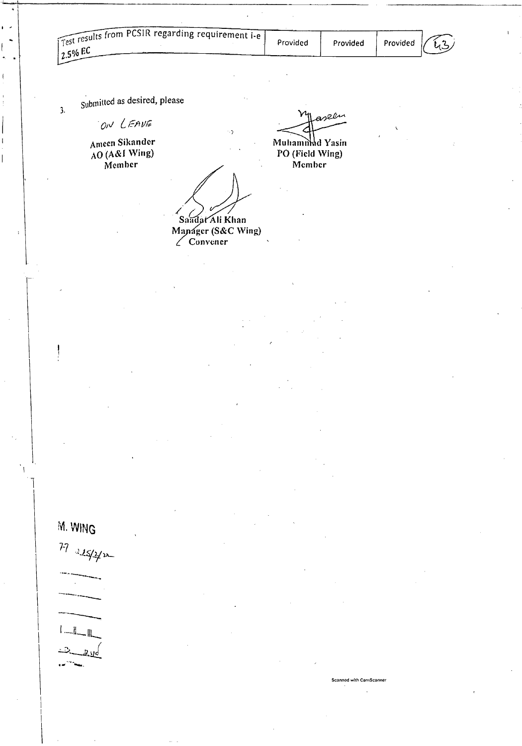aseen

Member



Submitted as desired, please

ON LEAVE

 $\overline{\mathbf{3}}$ .

Ameen Sikander  $AO(AAI$  Wing) Member

Muhamind Yasin PO (Field Wing) Saudat Ali Khan

Manager (S&C Wing)





 $-1$  $2,10$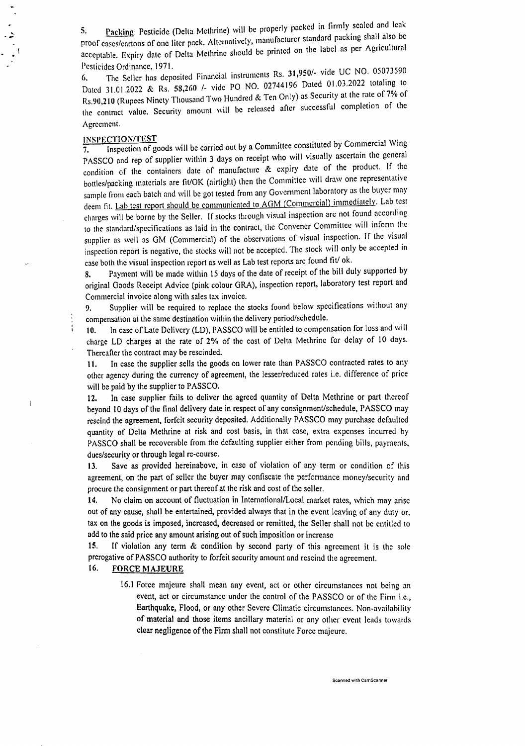5. Packing: Pesticide (Delta Methrine) will be properly packed in firmly scaled and leak proof cases/cartons of one liter pack. Alternatively, manufacturer standard packing shall also be acceptable. Expiry date of Delta Methrine should be printed on the label as per Agricultural Pesticides Ordinance, 1971.

6. The Seller has deposited Financial instruments Rs. *31,950/.* vide UC NO. 050?3590 Dated 31.01.2022 & Rs. 58,260 /- vide PO NO. 02744196 Dated 01.03.2022 totaling to Rs.90,210 (Rupees Ninety Thousand Two Hundred & Ten Only) as Security at the rate of 7% of the contract value. Security amount will be released after successful completion of the Agreement.

### INSJlECTIONrmST . .

Ì

....

 $\frac{1}{2}$ .

 $\overline{7}$  Inspection of goods will be carried out by a Committee constituted by Commercial Wing PASSCO and rep of supplier within 3 days on receipt who will visually ascertain the general condition of the containers date of manufacture & expiry dale of the product. If the bottles/packing materials are fit/OK (airtight) (hen the Committee will draw one representative sample from each batch and will be got tested from any Governmcnt laboratory as the buyer may deem fit. Lab test report should be communicated to AGM (Commercial) immediately. Lab test charges will be borne by the Seller. If stocks through visual inspection arc not found nccording to the standard/specifications as laid in the contract, the Convener Committee will inform the supplier as well as GM (Commercial) of the observations of visual inspection. If the visual inspection report is negative, the stocks will not be accepted. The stock will only be accepted in case both the visual inspection report as well as Lab test reports arc found tit/ ok.

8. Payment will be made within IS days of the date of receipt of the bill duly supported by original Goods Receipt Advice (pink colour ORA), inspection report, laboratory test report and Commercial invoice along with sales tax invoice.

9. Supplier will be required to replace the stocks found below specifications without any compensation at the same destination within the delivery period/schedule.

10. In case of Late Delivery (LD), PASSCO will be entitled to compensation for loss and will charge LD charges at the rate of 2% of the cost of Delta Methrine for delay of 10 days. Thereafter the contract may be rescinded.

It. In case the supplier sells the goods on lower rate than PASSCO contracted rates to any other agency during the currency of agreement, the lesser/reduced rates i.e. difference of price will be paid by the supplier to PASSCO.

12. In case supplier fails to deliver the agreed quantity of Delta Methrine or part thereof beyond 10 days of the final delivery date in respect of any consignment/schedule, PASSCO may rescind the agreement, forfeit security deposited. Additionally PASSCO may purchase defaulted quantity of Delta Methrine at risk and cost basis, in that case, extra expenses incurred by PASSCO shall be recoverable from the defaulting supplier either from pending bills, payments. dues/security or through legal re-course.

13. Save as provided hereinabove, in case of violation of any term or condition of this agreement, on the part of seller the buyer may confiscate the performance money/security and procure the consignment or part thereof at the risk and cost of the seller.

14. No claim on account of fluctuation in Intemational/Local market rates, which may arise out of any cause, shall be entertained, provided always that in the evcnt leaving of any duty or, tax on the goods is imposed, increased, decreased or remitted, the Seller shall not be entitled to add to the said price any amount arising out of such imposition or increase

15. If violation any term & condition by second party of this agreement it is the sole prerogative of PASSCO authority to forfeit security amount and rescind the agreement.

### 16. FORCE MAJEURE

16.1 Force majeure shall mean any event, act or other circumstances not being an event, act or circumstance under the control of the PASSCO or of the Firm i.e., Earthquake, Flood, or any other Severe Climatic circumstances. Non.availability of material and those items ancillary material or any other event leads towards clear negligence of the Firm shall not constitute Force majeure.